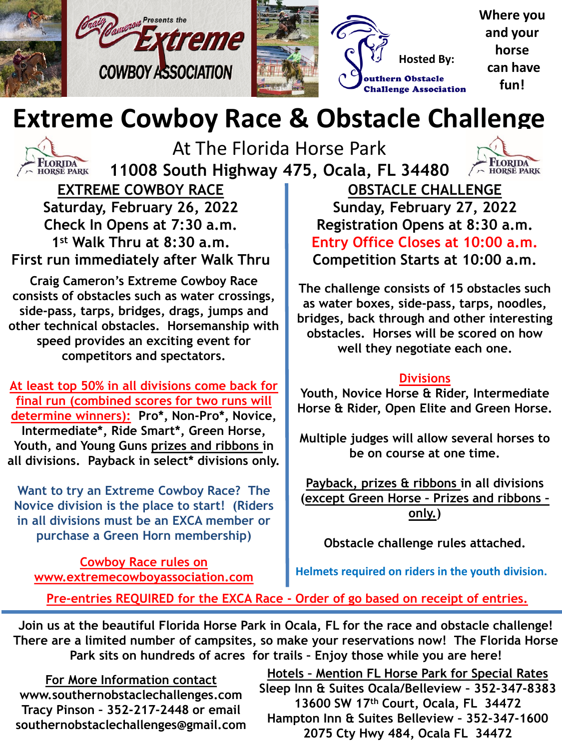

# **Extreme Cowboy Race & Obstacle Challenge**



At The Florida Horse Park **11008 South Highway 475, Ocala, FL 34480**



**EXTREME COWBOY RACE Saturday, February 26, 2022 Check In Opens at 7:30 a.m. 1 st Walk Thru at 8:30 a.m. First run immediately after Walk Thru**

**Craig Cameron's Extreme Cowboy Race consists of obstacles such as water crossings, side-pass, tarps, bridges, drags, jumps and other technical obstacles. Horsemanship with speed provides an exciting event for competitors and spectators.**

**At least top 50% in all divisions come back for final run (combined scores for two runs will determine winners): Pro\*, Non-Pro\*, Novice, Intermediate\*, Ride Smart\*, Green Horse, Youth, and Young Guns prizes and ribbons in all divisions. Payback in select\* divisions only.** 

**Want to try an Extreme Cowboy Race? The Novice division is the place to start! (Riders in all divisions must be an EXCA member or purchase a Green Horn membership)** 

**Cowboy Race rules on www.extremecowboyassociation.com**

**OBSTACLE CHALLENGE Sunday, February 27, 2022 Registration Opens at 8:30 a.m. Entry Office Closes at 10:00 a.m. Competition Starts at 10:00 a.m.**

**The challenge consists of 15 obstacles such as water boxes, side-pass, tarps, noodles, bridges, back through and other interesting obstacles. Horses will be scored on how well they negotiate each one.** 

#### **Divisions**

**Youth, Novice Horse & Rider, Intermediate Horse & Rider, Open Elite and Green Horse.** 

**Multiple judges will allow several horses to be on course at one time.** 

**Payback, prizes & ribbons in all divisions (except Green Horse – Prizes and ribbons – only.)**

**Obstacle challenge rules attached.**

**Helmets required on riders in the youth division.**

**Pre-entries REQUIRED for the EXCA Race - Order of go based on receipt of entries.**

**Join us at the beautiful Florida Horse Park in Ocala, FL for the race and obstacle challenge! There are a limited number of campsites, so make your reservations now! The Florida Horse Park sits on hundreds of acres for trails – Enjoy those while you are here!**

**For More Information contact www.southernobstaclechallenges.com Tracy Pinson – 352-217-2448 or email southernobstaclechallenges@gmail.com**

**Hotels – Mention FL Horse Park for Special Rates Sleep Inn & Suites Ocala/Belleview – 352-347-8383 13600 SW 17th Court, Ocala, FL 34472 Hampton Inn & Suites Belleview – 352-347-1600 2075 Cty Hwy 484, Ocala FL 34472**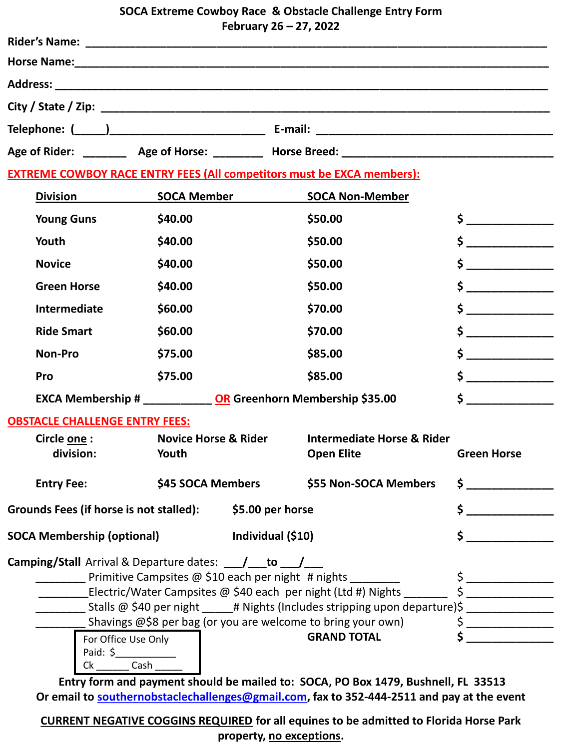# **SOCA Extreme Cowboy Race & Obstacle Challenge Entry Form**

| February 26 - 27, 2022 |  |  |  |
|------------------------|--|--|--|
|------------------------|--|--|--|

| <b>EXTREME COWBOY RACE ENTRY FEES (All competitors must be EXCA members):</b>                                                                                         |                                                                             |                                                            |                                           |  |  |  |
|-----------------------------------------------------------------------------------------------------------------------------------------------------------------------|-----------------------------------------------------------------------------|------------------------------------------------------------|-------------------------------------------|--|--|--|
|                                                                                                                                                                       | Division SOCA Member SOCA Non-Member                                        |                                                            |                                           |  |  |  |
| <b>Young Guns</b>                                                                                                                                                     | \$40.00                                                                     | \$50.00                                                    | $\frac{1}{2}$                             |  |  |  |
| Youth                                                                                                                                                                 | \$40.00                                                                     | \$50.00                                                    | $\mathsf{\dot{S}}$                        |  |  |  |
| <b>Novice</b>                                                                                                                                                         | \$40.00                                                                     | \$50.00                                                    | $\mathsf{\dot{S}}$                        |  |  |  |
| <b>Green Horse</b>                                                                                                                                                    | \$40.00                                                                     | \$50.00                                                    | $\mathsf{\dot{S}}$ $\qquad \qquad \qquad$ |  |  |  |
| Intermediate                                                                                                                                                          | \$60.00                                                                     | \$70.00                                                    | $\frac{1}{2}$                             |  |  |  |
| <b>Ride Smart</b>                                                                                                                                                     | \$60.00                                                                     | \$70.00                                                    | $\sim$                                    |  |  |  |
| <b>Non-Pro</b>                                                                                                                                                        | \$75.00                                                                     | \$85.00                                                    | $\sim$ $\sim$                             |  |  |  |
| <b>Pro</b>                                                                                                                                                            | \$75.00                                                                     | \$85.00                                                    | $\sim$ $\sim$                             |  |  |  |
| EXCA Membership # ______________ OR Greenhorn Membership \$35.00                                                                                                      |                                                                             |                                                            | $\sim$ $\sim$                             |  |  |  |
| <b>OBSTACLE CHALLENGE ENTRY FEES:</b>                                                                                                                                 |                                                                             |                                                            |                                           |  |  |  |
| Circle one:<br>division:                                                                                                                                              | <b>Novice Horse &amp; Rider</b><br>Youth                                    | <b>Intermediate Horse &amp; Rider</b><br><b>Open Elite</b> | <b>Green Horse</b>                        |  |  |  |
| <b>Entry Fee:</b>                                                                                                                                                     | \$45 SOCA Members                                                           | \$55 Non-SOCA Members                                      | $\sim$ $\sim$                             |  |  |  |
| Grounds Fees (if horse is not stalled):<br>\$5.00 per horse                                                                                                           |                                                                             |                                                            |                                           |  |  |  |
| <b>SOCA Membership (optional)</b><br>Individual (\$10)                                                                                                                |                                                                             |                                                            |                                           |  |  |  |
| <b>Camping/Stall</b> Arrival & Departure dates: 1.1 to 1.1                                                                                                            |                                                                             |                                                            |                                           |  |  |  |
| Primitive Campsites @ \$10 each per night # nights ________                                                                                                           | $\begin{array}{c}\n5 \quad \text{---} \\ 5 \quad \text{---} \\ \end{array}$ |                                                            |                                           |  |  |  |
| Electric/Water Campsites @ \$40 each per night (Ltd #) Nights                                                                                                         |                                                                             |                                                            |                                           |  |  |  |
| ________ Stalls @ \$40 per night _____# Nights (Includes stripping upon departure)\$ ________________<br>Shavings @\$8 per bag (or you are welcome to bring your own) |                                                                             |                                                            |                                           |  |  |  |
|                                                                                                                                                                       | $\frac{1}{2}$                                                               |                                                            |                                           |  |  |  |
| For Office Use Only<br>Paid: $\frac{1}{2}$                                                                                                                            |                                                                             |                                                            |                                           |  |  |  |
| Ck Cash                                                                                                                                                               |                                                                             |                                                            |                                           |  |  |  |
| Entry form and nayment should be mailed to: SOCA, PO Boy 1479, Bushnell, EL 33513                                                                                     |                                                                             |                                                            |                                           |  |  |  |

**Entry form and payment should be mailed to: SOCA, PO Box 1479, Bushnell, FL 33513 Or email to [southernobstaclechallenges@gmail.com](mailto:southernobstaclechallenges@gmail.com), fax to 352-444-2511 and pay at the event**

**CURRENT NEGATIVE COGGINS REQUIRED for all equines to be admitted to Florida Horse Park property, no exceptions.**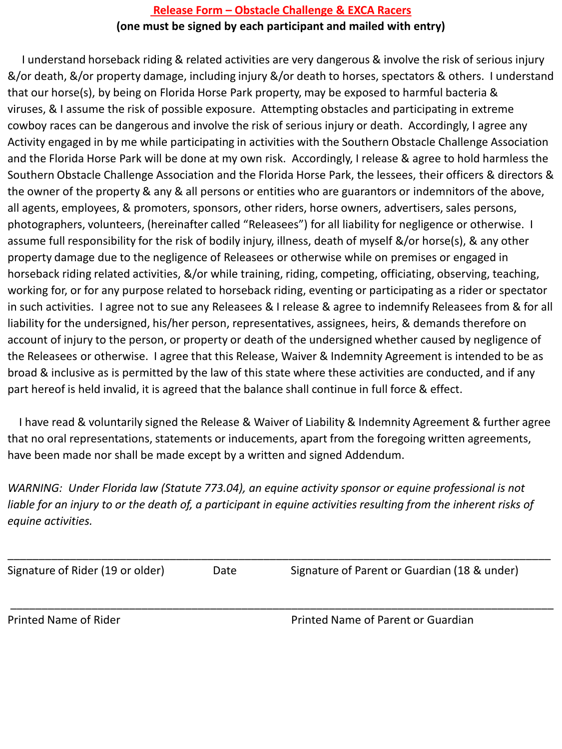#### **Release Form – Obstacle Challenge & EXCA Racers (one must be signed by each participant and mailed with entry)**

I understand horseback riding & related activities are very dangerous & involve the risk of serious injury &/or death, &/or property damage, including injury &/or death to horses, spectators & others. I understand that our horse(s), by being on Florida Horse Park property, may be exposed to harmful bacteria & viruses, & I assume the risk of possible exposure. Attempting obstacles and participating in extreme cowboy races can be dangerous and involve the risk of serious injury or death. Accordingly, I agree any Activity engaged in by me while participating in activities with the Southern Obstacle Challenge Association and the Florida Horse Park will be done at my own risk. Accordingly, I release & agree to hold harmless the Southern Obstacle Challenge Association and the Florida Horse Park, the lessees, their officers & directors & the owner of the property & any & all persons or entities who are guarantors or indemnitors of the above, all agents, employees, & promoters, sponsors, other riders, horse owners, advertisers, sales persons, photographers, volunteers, (hereinafter called "Releasees") for all liability for negligence or otherwise. I assume full responsibility for the risk of bodily injury, illness, death of myself &/or horse(s), & any other property damage due to the negligence of Releasees or otherwise while on premises or engaged in horseback riding related activities, &/or while training, riding, competing, officiating, observing, teaching, working for, or for any purpose related to horseback riding, eventing or participating as a rider or spectator in such activities. I agree not to sue any Releasees & I release & agree to indemnify Releasees from & for all liability for the undersigned, his/her person, representatives, assignees, heirs, & demands therefore on account of injury to the person, or property or death of the undersigned whether caused by negligence of the Releasees or otherwise. I agree that this Release, Waiver & Indemnity Agreement is intended to be as broad & inclusive as is permitted by the law of this state where these activities are conducted, and if any part hereof is held invalid, it is agreed that the balance shall continue in full force & effect.

I have read & voluntarily signed the Release & Waiver of Liability & Indemnity Agreement & further agree that no oral representations, statements or inducements, apart from the foregoing written agreements, have been made nor shall be made except by a written and signed Addendum.

*WARNING: Under Florida law (Statute 773.04), an equine activity sponsor or equine professional is not*  liable for an injury to or the death of, a participant in equine activities resulting from the inherent risks of *equine activities.*

| Signature of Rider (19 or older) | Date | Signature of Parent or Guardian (18 & under) |  |
|----------------------------------|------|----------------------------------------------|--|
| <b>Printed Name of Rider</b>     |      | Printed Name of Parent or Guardian           |  |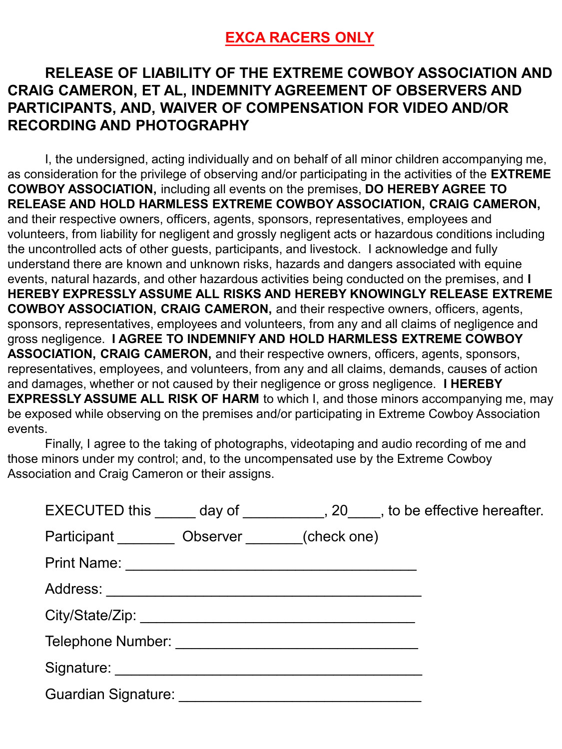# **EXCA RACERS ONLY**

## **RELEASE OF LIABILITY OF THE EXTREME COWBOY ASSOCIATION AND CRAIG CAMERON, ET AL, INDEMNITY AGREEMENT OF OBSERVERS AND PARTICIPANTS, AND, WAIVER OF COMPENSATION FOR VIDEO AND/OR RECORDING AND PHOTOGRAPHY**

I, the undersigned, acting individually and on behalf of all minor children accompanying me, as consideration for the privilege of observing and/or participating in the activities of the **EXTREME COWBOY ASSOCIATION,** including all events on the premises, **DO HEREBY AGREE TO RELEASE AND HOLD HARMLESS EXTREME COWBOY ASSOCIATION, CRAIG CAMERON,**  and their respective owners, officers, agents, sponsors, representatives, employees and volunteers, from liability for negligent and grossly negligent acts or hazardous conditions including the uncontrolled acts of other guests, participants, and livestock. I acknowledge and fully understand there are known and unknown risks, hazards and dangers associated with equine events, natural hazards, and other hazardous activities being conducted on the premises, and **I HEREBY EXPRESSLY ASSUME ALL RISKS AND HEREBY KNOWINGLY RELEASE EXTREME COWBOY ASSOCIATION, CRAIG CAMERON,** and their respective owners, officers, agents, sponsors, representatives, employees and volunteers, from any and all claims of negligence and gross negligence. **I AGREE TO INDEMNIFY AND HOLD HARMLESS EXTREME COWBOY ASSOCIATION, CRAIG CAMERON,** and their respective owners, officers, agents, sponsors, representatives, employees, and volunteers, from any and all claims, demands, causes of action and damages, whether or not caused by their negligence or gross negligence. **I HEREBY EXPRESSLY ASSUME ALL RISK OF HARM** to which I, and those minors accompanying me, may be exposed while observing on the premises and/or participating in Extreme Cowboy Association events.

Finally, I agree to the taking of photographs, videotaping and audio recording of me and those minors under my control; and, to the uncompensated use by the Extreme Cowboy Association and Craig Cameron or their assigns.

|                     |                      | EXECUTED this day of (20, 30, 30), to be effective hereafter. |
|---------------------|----------------------|---------------------------------------------------------------|
| Participant _______ | Observer (check one) |                                                               |
|                     |                      |                                                               |
|                     |                      |                                                               |
|                     |                      |                                                               |
|                     |                      |                                                               |
|                     |                      |                                                               |
| Guardian Signature: |                      |                                                               |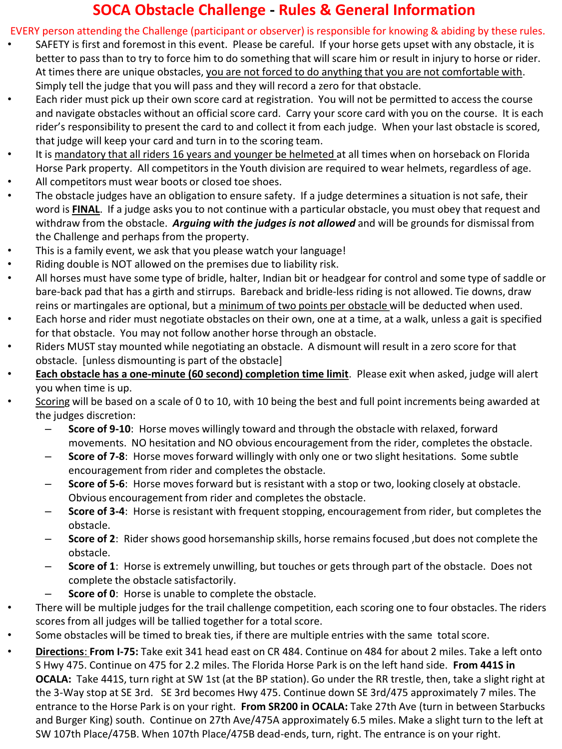### **SOCA Obstacle Challenge - Rules & General Information**

EVERY person attending the Challenge (participant or observer) is responsible for knowing & abiding by these rules.

- SAFETY is first and foremost in this event. Please be careful. If your horse gets upset with any obstacle, it is better to pass than to try to force him to do something that will scare him or result in injury to horse or rider. At times there are unique obstacles, you are not forced to do anything that you are not comfortable with. Simply tell the judge that you will pass and they will record a zero for that obstacle.
- Each rider must pick up their own score card at registration. You will not be permitted to access the course and navigate obstacles without an official score card. Carry your score card with you on the course. It is each rider's responsibility to present the card to and collect it from each judge. When your last obstacle is scored, that judge will keep your card and turn in to the scoring team.
- It is mandatory that all riders 16 years and younger be helmeted at all times when on horseback on Florida Horse Park property. All competitors in the Youth division are required to wear helmets, regardless of age.
- All competitors must wear boots or closed toe shoes.
- The obstacle judges have an obligation to ensure safety. If a judge determines a situation is not safe, their word is **FINAL**. If a judge asks you to not continue with a particular obstacle, you must obey that request and withdraw from the obstacle. *Arguing with the judges is not allowed* and will be grounds for dismissal from the Challenge and perhaps from the property.
- This is a family event, we ask that you please watch your language!
- Riding double is NOT allowed on the premises due to liability risk.
- All horses must have some type of bridle, halter, Indian bit or headgear for control and some type of saddle or bare-back pad that has a girth and stirrups. Bareback and bridle-less riding is not allowed. Tie downs, draw reins or martingales are optional, but a minimum of two points per obstacle will be deducted when used.
- Each horse and rider must negotiate obstacles on their own, one at a time, at a walk, unless a gait is specified for that obstacle. You may not follow another horse through an obstacle.
- Riders MUST stay mounted while negotiating an obstacle. A dismount will result in a zero score for that obstacle. [unless dismounting is part of the obstacle]
- **Each obstacle has a one-minute (60 second) completion time limit**. Please exit when asked, judge will alert you when time is up.
- Scoring will be based on a scale of 0 to 10, with 10 being the best and full point increments being awarded at the judges discretion:
	- **Score of 9-10**: Horse moves willingly toward and through the obstacle with relaxed, forward movements. NO hesitation and NO obvious encouragement from the rider, completes the obstacle.
	- **Score of 7-8**: Horse moves forward willingly with only one or two slight hesitations. Some subtle encouragement from rider and completes the obstacle.
	- **Score of 5-6**: Horse moves forward but is resistant with a stop or two, looking closely at obstacle. Obvious encouragement from rider and completes the obstacle.
	- **Score of 3-4**: Horse is resistant with frequent stopping, encouragement from rider, but completes the obstacle.
	- **Score of 2**: Rider shows good horsemanship skills, horse remains focused ,but does not complete the obstacle.
	- **Score of 1**: Horse is extremely unwilling, but touches or gets through part of the obstacle. Does not complete the obstacle satisfactorily.
	- **Score of 0:** Horse is unable to complete the obstacle.
- There will be multiple judges for the trail challenge competition, each scoring one to four obstacles. The riders scores from all judges will be tallied together for a total score.
- Some obstacles will be timed to break ties, if there are multiple entries with the same total score.
- **Directions**: **From I-75:** Take exit 341 head east on CR 484. Continue on 484 for about 2 miles. Take a left onto S Hwy 475. Continue on 475 for 2.2 miles. The Florida Horse Park is on the left hand side. **From 441S in OCALA:** Take 441S, turn right at SW 1st (at the BP station). Go under the RR trestle, then, take a slight right at the 3-Way stop at SE 3rd. SE 3rd becomes Hwy 475. Continue down SE 3rd/475 approximately 7 miles. The entrance to the Horse Park is on your right. **From SR200 in OCALA:** Take 27th Ave (turn in between Starbucks and Burger King) south. Continue on 27th Ave/475A approximately 6.5 miles. Make a slight turn to the left at SW 107th Place/475B. When 107th Place/475B dead-ends, turn, right. The entrance is on your right.